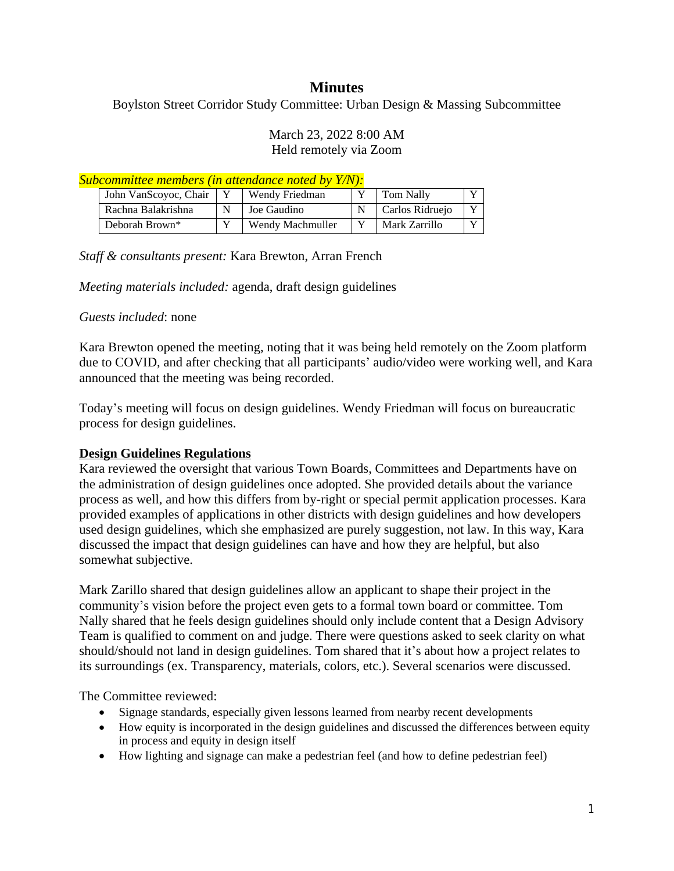# **Minutes**

Boylston Street Corridor Study Committee: Urban Design & Massing Subcommittee

### March 23, 2022 8:00 AM Held remotely via Zoom

#### *Subcommittee members (in attendance noted by Y/N):*

| John VanScoyoc, Chair | Wendy Friedman   | Tom Nally       | $\mathbf{v}$ |
|-----------------------|------------------|-----------------|--------------|
| Rachna Balakrishna    | Joe Gaudino      | Carlos Ridruejo | $\mathbf{v}$ |
| Deborah Brown*        | Wendy Machmuller | Mark Zarrillo   |              |

### *Staff & consultants present:* Kara Brewton, Arran French

*Meeting materials included:* agenda, draft design guidelines

### *Guests included*: none

Kara Brewton opened the meeting, noting that it was being held remotely on the Zoom platform due to COVID, and after checking that all participants' audio/video were working well, and Kara announced that the meeting was being recorded.

Today's meeting will focus on design guidelines. Wendy Friedman will focus on bureaucratic process for design guidelines.

## **Design Guidelines Regulations**

Kara reviewed the oversight that various Town Boards, Committees and Departments have on the administration of design guidelines once adopted. She provided details about the variance process as well, and how this differs from by-right or special permit application processes. Kara provided examples of applications in other districts with design guidelines and how developers used design guidelines, which she emphasized are purely suggestion, not law. In this way, Kara discussed the impact that design guidelines can have and how they are helpful, but also somewhat subjective.

Mark Zarillo shared that design guidelines allow an applicant to shape their project in the community's vision before the project even gets to a formal town board or committee. Tom Nally shared that he feels design guidelines should only include content that a Design Advisory Team is qualified to comment on and judge. There were questions asked to seek clarity on what should/should not land in design guidelines. Tom shared that it's about how a project relates to its surroundings (ex. Transparency, materials, colors, etc.). Several scenarios were discussed.

The Committee reviewed:

- Signage standards, especially given lessons learned from nearby recent developments
- How equity is incorporated in the design guidelines and discussed the differences between equity in process and equity in design itself
- How lighting and signage can make a pedestrian feel (and how to define pedestrian feel)